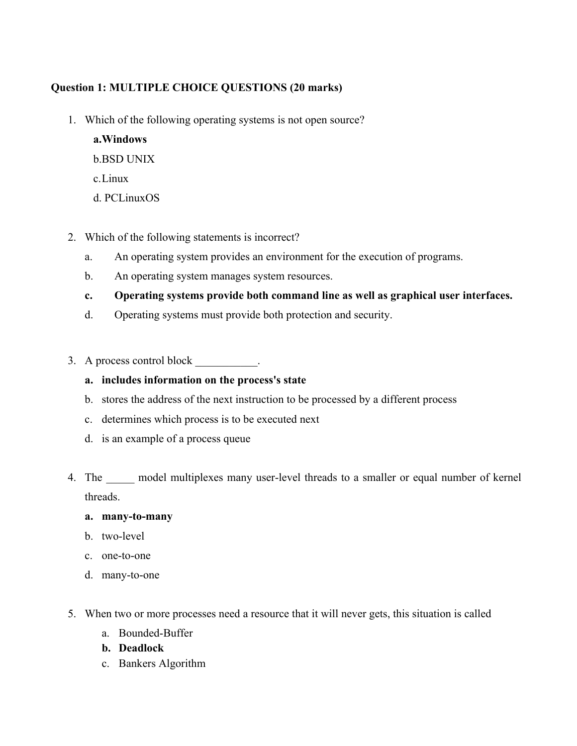# **Question 1: MULTIPLE CHOICE QUESTIONS (20 marks)**

1. Which of the following operating systems is not open source?

**a.Windows**  b.BSD UNIX c.Linux

- d. PCLinuxOS
- 2. Which of the following statements is incorrect?
	- a. An operating system provides an environment for the execution of programs.
	- b. An operating system manages system resources.
	- **c. Operating systems provide both command line as well as graphical user interfaces.**
	- d. Operating systems must provide both protection and security.
- 3. A process control block \_\_\_\_\_\_\_\_\_\_\_.
	- **a. includes information on the process's state**
	- b. stores the address of the next instruction to be processed by a different process
	- c. determines which process is to be executed next
	- d. is an example of a process queue
- 4. The model multiplexes many user-level threads to a smaller or equal number of kernel threads.

#### **a. many-to-many**

- b. two-level
- c. one-to-one
- d. many-to-one
- 5. When two or more processes need a resource that it will never gets, this situation is called
	- a. Bounded-Buffer
	- **b. Deadlock**
	- c. Bankers Algorithm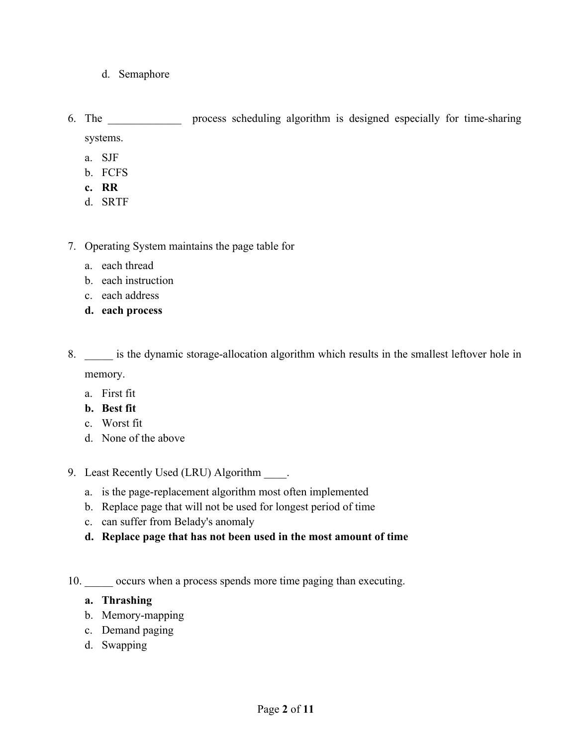- d. Semaphore
- 6. The \_\_\_\_\_\_\_\_\_\_\_\_\_ process scheduling algorithm is designed especially for time-sharing systems.
	- a. SJF
	- b. FCFS
	- **c. RR**
	- d. SRTF
- 7. Operating System maintains the page table for
	- a. each thread
	- b. each instruction
	- c. each address
	- **d. each process**
- 8.  $\blacksquare$  is the dynamic storage-allocation algorithm which results in the smallest leftover hole in memory.
	- a. First fit
	- **b. Best fit**
	- c. Worst fit
	- d. None of the above
- 9. Least Recently Used (LRU) Algorithm .
	- a. is the page-replacement algorithm most often implemented
	- b. Replace page that will not be used for longest period of time
	- c. can suffer from Belady's anomaly
	- **d. Replace page that has not been used in the most amount of time**
- 10.  $\qquad$  occurs when a process spends more time paging than executing.

#### **a. Thrashing**

- b. Memory-mapping
- c. Demand paging
- d. Swapping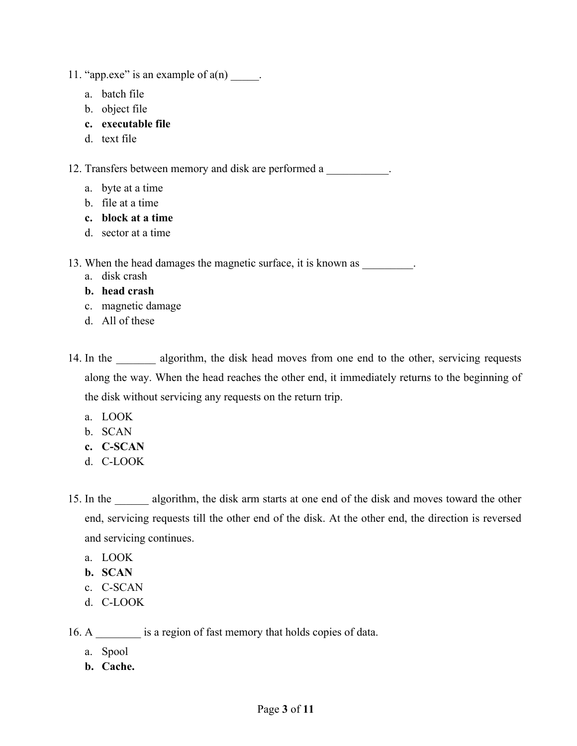11. "app.exe" is an example of  $a(n)$  \_\_\_\_\_.

- a. batch file
- b. object file
- **c. executable file**
- d. text file

12. Transfers between memory and disk are performed a \_\_\_\_\_\_\_\_\_\_\_.

- a. byte at a time
- b. file at a time
- **c. block at a time**
- d. sector at a time

13. When the head damages the magnetic surface, it is known as \_\_\_\_\_\_\_\_.

- a. disk crash
- **b. head crash**
- c. magnetic damage
- d. All of these
- 14. In the algorithm, the disk head moves from one end to the other, servicing requests along the way. When the head reaches the other end, it immediately returns to the beginning of the disk without servicing any requests on the return trip.
	- a. LOOK
	- b. SCAN
	- **c. C-SCAN**
	- d. C-LOOK
- 15. In the algorithm, the disk arm starts at one end of the disk and moves toward the other end, servicing requests till the other end of the disk. At the other end, the direction is reversed and servicing continues.
	- a. LOOK
	- **b. SCAN**
	- c. C-SCAN
	- d. C-LOOK

16. A  $\quad$  is a region of fast memory that holds copies of data.

- a. Spool
- **b. Cache.**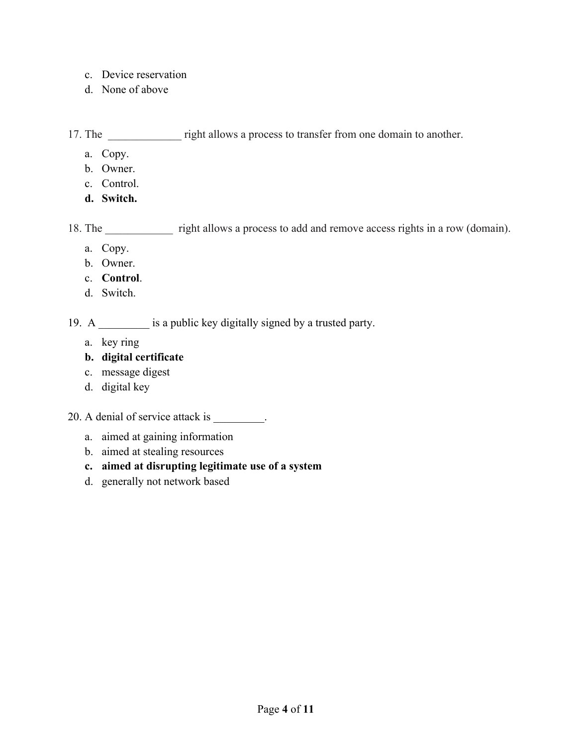- c. Device reservation
- d. None of above

17. The <u>right allows a process to transfer from one domain to another.</u>

- a. Copy.
- b. Owner.
- c. Control.
- **d. Switch.**

18. The <u>contract right allows a process to add and remove access rights in a row (domain)</u>.

- a. Copy.
- b. Owner.
- c. **Control**.
- d. Switch.

19. A \_\_\_\_\_\_\_\_\_ is a public key digitally signed by a trusted party.

- a. key ring
- **b. digital certificate**
- c. message digest
- d. digital key

## 20. A denial of service attack is \_\_\_\_\_\_\_\_.

- a. aimed at gaining information
- b. aimed at stealing resources

#### **c. aimed at disrupting legitimate use of a system**

d. generally not network based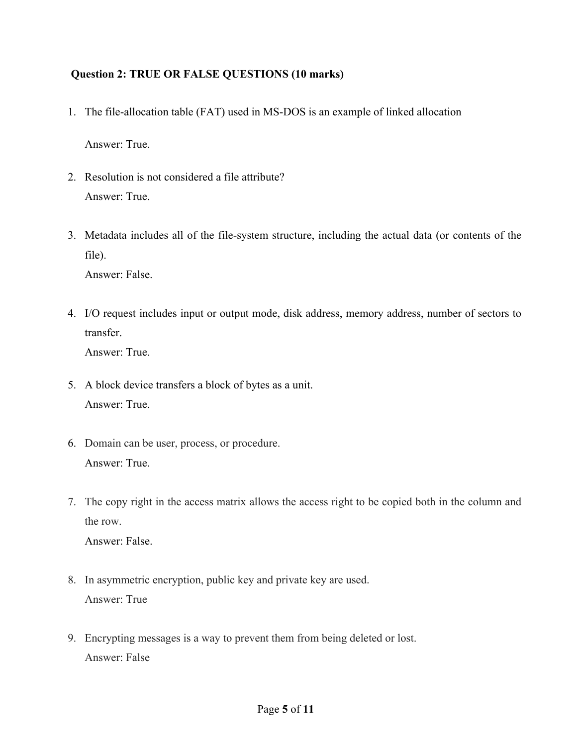### **Question 2: TRUE OR FALSE QUESTIONS (10 marks)**

1. The file-allocation table (FAT) used in MS-DOS is an example of linked allocation

Answer: True.

- 2. Resolution is not considered a file attribute? Answer: True.
- 3. Metadata includes all of the file-system structure, including the actual data (or contents of the file).

Answer: False.

4. I/O request includes input or output mode, disk address, memory address, number of sectors to transfer.

Answer: True.

- 5. A block device transfers a block of bytes as a unit. Answer: True.
- 6. Domain can be user, process, or procedure. Answer: True.
- 7. The copy right in the access matrix allows the access right to be copied both in the column and the row.

Answer: False.

- 8. In asymmetric encryption, public key and private key are used. Answer: True
- 9. Encrypting messages is a way to prevent them from being deleted or lost. Answer: False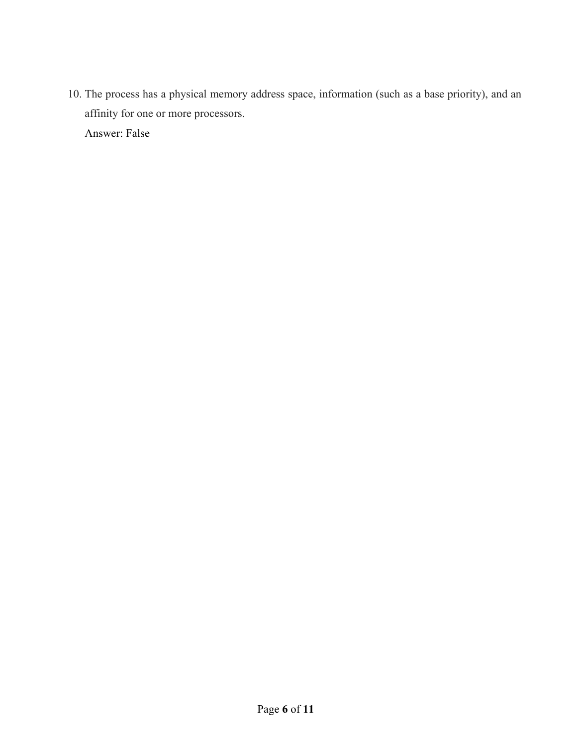10. The process has a physical memory address space, information (such as a base priority), and an affinity for one or more processors. Answer: False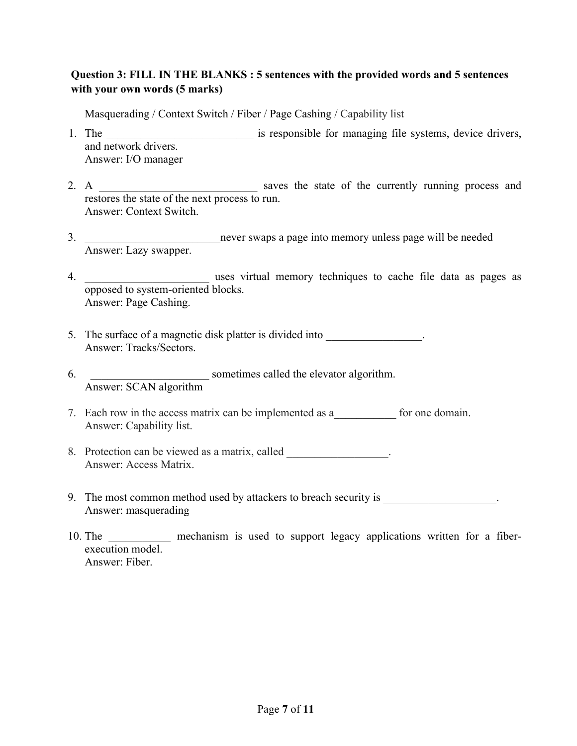## **Question 3: FILL IN THE BLANKS : 5 sentences with the provided words and 5 sentences with your own words (5 marks)**

Masquerading / Context Switch / Fiber / Page Cashing / Capability list

- 1. The **EXECUTE:** is responsible for managing file systems, device drivers, and network drivers. Answer: I/O manager
- 2. A \_\_\_\_\_\_\_\_\_\_\_\_\_\_\_\_\_\_\_\_\_\_\_\_\_\_\_\_ saves the state of the currently running process and restores the state of the next process to run. Answer: Context Switch.
- 3. \_\_\_\_\_\_\_\_\_\_\_\_\_\_\_\_\_\_\_\_\_\_\_\_never swaps a page into memory unless page will be needed Answer: Lazy swapper.
- 4. \_\_\_\_\_\_\_\_\_\_\_\_\_\_\_\_\_\_\_\_\_\_ uses virtual memory techniques to cache file data as pages as opposed to system-oriented blocks. Answer: Page Cashing.
- 5. The surface of a magnetic disk platter is divided into Answer: Tracks/Sectors.
- 6. \_\_\_\_\_\_\_\_\_\_\_\_\_\_\_\_\_\_\_\_\_ sometimes called the elevator algorithm. Answer: SCAN algorithm
- 7. Each row in the access matrix can be implemented as a for one domain. Answer: Capability list.
- 8. Protection can be viewed as a matrix, called  $\blacksquare$ Answer: Access Matrix.
- 9. The most common method used by attackers to breach security is Answer: masquerading
- 10. The **EXECUTE:** mechanism is used to support legacy applications written for a fiberexecution model. Answer: Fiber.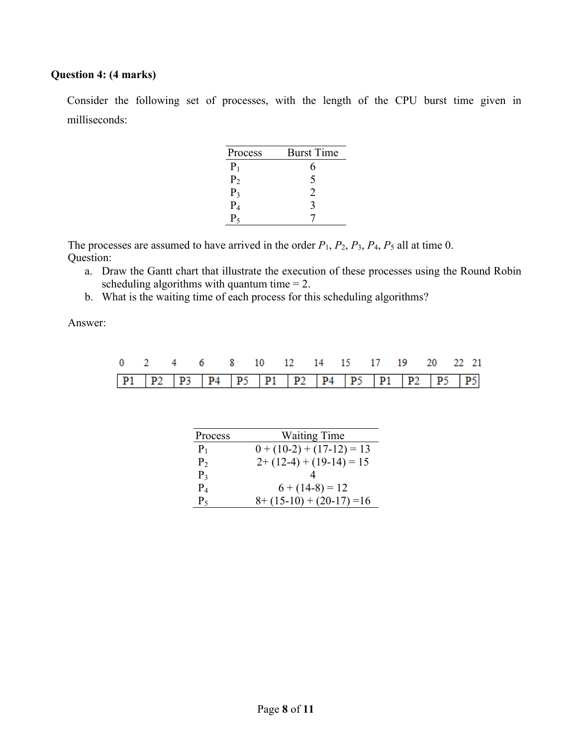## **Question 4: (4 marks)**

Consider the following set of processes, with the length of the CPU burst time given in milliseconds:

| Process        | <b>Burst Time</b> |
|----------------|-------------------|
| $\rm P_1$      | h                 |
| P <sub>2</sub> | 5                 |
| $P_3$          | 2                 |
| $\rm P_4$      | 3                 |
|                |                   |

The processes are assumed to have arrived in the order  $P_1$ ,  $P_2$ ,  $P_3$ ,  $P_4$ ,  $P_5$  all at time 0. Question:

- a. Draw the Gantt chart that illustrate the execution of these processes using the Round Robin scheduling algorithms with quantum time  $= 2$ .
- b. What is the waiting time of each process for this scheduling algorithms?

Answer:

|  |  | 0 2 4 6 8 10 12 14 15 17 19 20 22 21                |  |  |  |  |  |
|--|--|-----------------------------------------------------|--|--|--|--|--|
|  |  | <b>P1 P2 P3 P4 P5 P1 P2 P4 P5 P1 P5 P1 P2 P5 P5</b> |  |  |  |  |  |

| Process        | <b>Waiting Time</b>         |
|----------------|-----------------------------|
| $P_1$          | $0 + (10-2) + (17-12) = 13$ |
| P <sub>2</sub> | $2+(12-4)+(19-14)=15$       |
| $P_3$          |                             |
| $P_4$          | $6 + (14-8) = 12$           |
| $P_5$          | $8+(15-10)+(20-17)=16$      |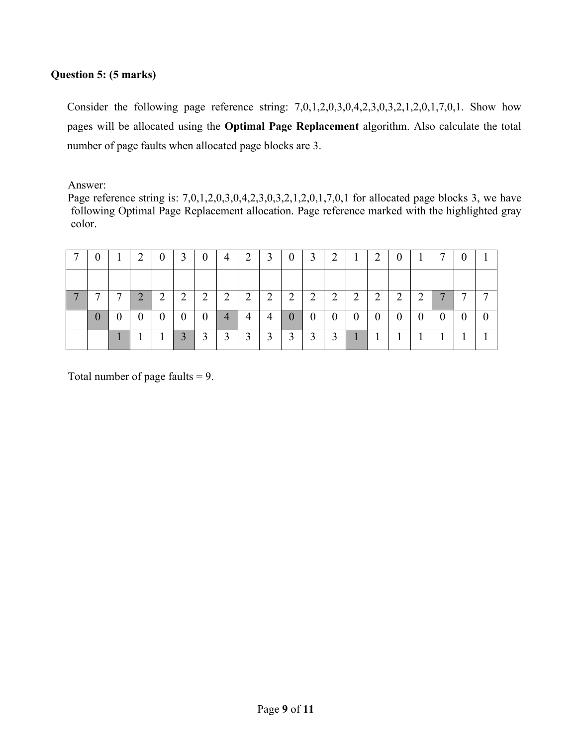## **Question 5: (5 marks)**

Consider the following page reference string: 7,0,1,2,0,3,0,4,2,3,0,3,2,1,2,0,1,7,0,1. Show how pages will be allocated using the **Optimal Page Replacement** algorithm. Also calculate the total number of page faults when allocated page blocks are 3.

Answer:

Page reference string is: 7,0,1,2,0,3,0,4,2,3,0,3,2,1,2,0,1,7,0,1 for allocated page blocks 3, we have following Optimal Page Replacement allocation. Page reference marked with the highlighted gray color.

| v              | л.               | ∠        | $\theta$         | 3              | $\theta$         | 4              | 2 | $\mathfrak{I}$ | $\theta$       | Ĺ              | ∠              | $\bf{I}$         | $\overline{2}$   | v        | $\bf{I}$       |              |   |
|----------------|------------------|----------|------------------|----------------|------------------|----------------|---|----------------|----------------|----------------|----------------|------------------|------------------|----------|----------------|--------------|---|
|                |                  |          |                  |                |                  |                |   |                |                |                |                |                  |                  |          |                |              |   |
|                | ⇁                | ◠<br>∠   | $\overline{2}$   | $\overline{2}$ | $\overline{2}$   | $\overline{2}$ | 2 | $\overline{2}$ | $\overline{2}$ | $\overline{2}$ | $\overline{2}$ | $\overline{2}$   | ◠<br>∠           | ∍<br>∠   | $\overline{2}$ | $\mathbf{r}$ | − |
| $\overline{0}$ | $\boldsymbol{0}$ | $\theta$ | $\boldsymbol{0}$ | $\overline{0}$ | $\boldsymbol{0}$ | $\overline{4}$ | 4 | 4              | $\theta$       | $\overline{0}$ | $\overline{0}$ | $\boldsymbol{0}$ | $\boldsymbol{0}$ | $\theta$ | $\theta$       | $\theta$     |   |
|                |                  |          |                  | 3              | 3                | 3              | 3 | 3              | 3              | 3              | 3              |                  |                  |          |                |              |   |

Total number of page faults  $= 9$ .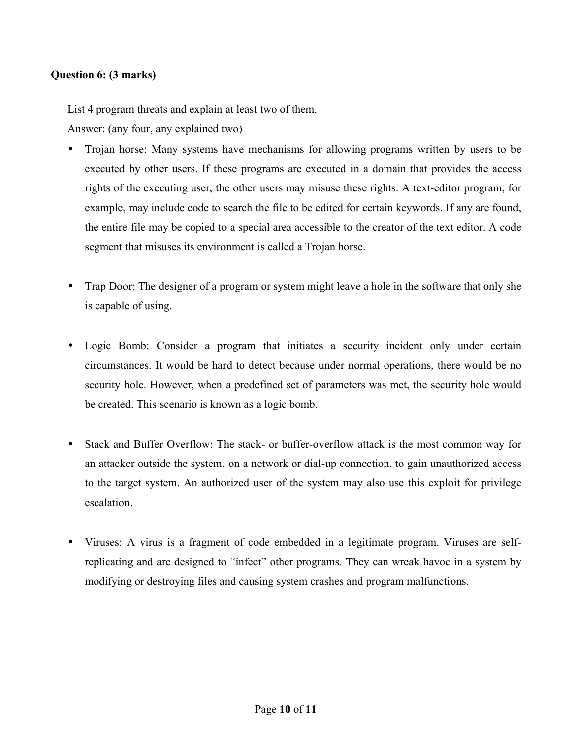#### **Question 6: (3 marks)**

List 4 program threats and explain at least two of them.

Answer: (any four, any explained two)

- Trojan horse: Many systems have mechanisms for allowing programs written by users to be executed by other users. If these programs are executed in a domain that provides the access rights of the executing user, the other users may misuse these rights. A text-editor program, for example, may include code to search the file to be edited for certain keywords. If any are found, the entire file may be copied to a special area accessible to the creator of the text editor. A code segment that misuses its environment is called a Trojan horse.
- Trap Door: The designer of a program or system might leave a hole in the software that only she is capable of using.
- Logic Bomb: Consider a program that initiates a security incident only under certain circumstances. It would be hard to detect because under normal operations, there would be no security hole. However, when a predefined set of parameters was met, the security hole would be created. This scenario is known as a logic bomb.
- Stack and Buffer Overflow: The stack- or buffer-overflow attack is the most common way for an attacker outside the system, on a network or dial-up connection, to gain unauthorized access to the target system. An authorized user of the system may also use this exploit for privilege escalation.
- Viruses: A virus is a fragment of code embedded in a legitimate program. Viruses are selfreplicating and are designed to "infect" other programs. They can wreak havoc in a system by modifying or destroying files and causing system crashes and program malfunctions.